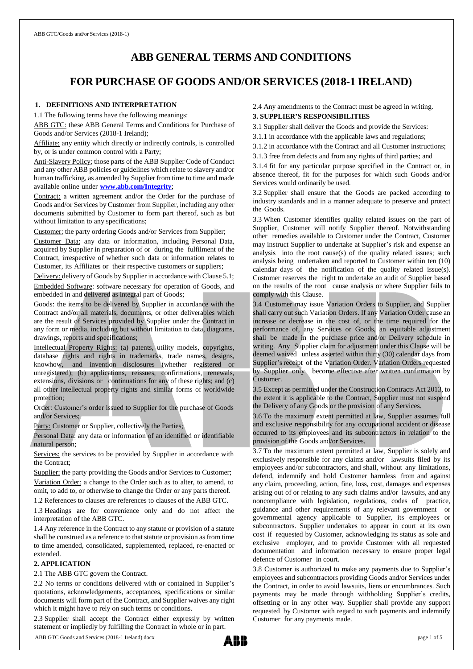# **ABB GENERAL TERMS AND CONDITIONS**

# **FOR PURCHASE OF GOODS AND/OR SERVICES (2018-1 IRELAND)**

#### **1. DEFINITIONS AND INTERPRETATION**

1.1 The following terms have the following meanings:

ABB GTC: these ABB General Terms and Conditions for Purchase of Goods and/or Services (2018-1 Ireland);

Affiliate: any entity which directly or indirectly controls, is controlled by, or is under common control with a Party;

Anti-Slavery Policy: those parts of the ABB Supplier Code of Conduct and any other ABB policies or guidelines which relate to slavery and/or human trafficking, as amended by Supplier from time to time and made available online under **[www.abb.com/Integrity](http://www.abb.com/Integrity.)**;

Contract: a written agreement and/or the Order for the purchase of Goods and/or Services by Customer from Supplier, including any other documents submitted by Customer to form part thereof, such as but without limitation to any specifications;

Customer: the party ordering Goods and/or Services from Supplier;

Customer Data: any data or information, including Personal Data, acquired by Supplier in preparation of or during the fulfilment of the Contract, irrespective of whether such data or information relates to Customer, its Affiliates or their respective customers or suppliers;

Delivery: delivery of Goods by Supplier in accordance with Clause 5.1; Embedded Software: software necessary for operation of Goods, and embedded in and delivered as integral part of Goods;

Goods: the items to be delivered by Supplier in accordance with the Contract and/or all materials, documents, or other deliverables which are the result of Services provided by Supplier under the Contract in any form or media, including but without limitation to data, diagrams, drawings, reports and specifications;

Intellectual Property Rights: (a) patents, utility models, copyrights, database rights and rights in trademarks, trade names, designs, knowhow, and invention disclosures (whether registered or unregistered); (b) applications, reissues, confirmations, renewals, extensions, divisions or continuations for any of these rights; and (c) all other intellectual property rights and similar forms of worldwide protection;

Order: Customer's order issued to Supplier for the purchase of Goods and/or Services;

Party: Customer or Supplier, collectively the Parties;

Personal Data: any data or information of an identified or identifiable natural person;

Services: the services to be provided by Supplier in accordance with the Contract;

Supplier: the party providing the Goods and/or Services to Customer; Variation Order: a change to the Order such as to alter, to amend, to omit, to add to, or otherwise to change the Order or any parts thereof.

1.2 References to clauses are references to clauses of the ABB GTC.

1.3 Headings are for convenience only and do not affect the interpretation of the ABB GTC.

1.4 Any reference in the Contract to any statute or provision of a statute shall be construed as a reference to that statute or provision as from time to time amended, consolidated, supplemented, replaced, re-enacted or extended.

### **2. APPLICATION**

2.1 The ABB GTC govern the Contract.

2.2 No terms or conditions delivered with or contained in Supplier's quotations, acknowledgements, acceptances, specifications or similar documents will form part of the Contract, and Supplier waives any right which it might have to rely on such terms or conditions.

2.3 Supplier shall accept the Contract either expressly by written statement or impliedly by fulfilling the Contract in whole or in part.

2.4 Any amendments to the Contract must be agreed in writing.

### **3. SUPPLIER'S RESPONSIBILITIES**

3.1 Supplier shall deliver the Goods and provide the Services:

3.1.1 in accordance with the applicable laws and regulations;

3.1.2 in accordance with the Contract and all Customer instructions;

3.1.3 free from defects and from any rights of third parties; and

3.1.4 fit for any particular purpose specified in the Contract or, in absence thereof, fit for the purposes for which such Goods and/or Services would ordinarily be used.

3.2 Supplier shall ensure that the Goods are packed according to industry standards and in a manner adequate to preserve and protect the Goods.

3.3 When Customer identifies quality related issues on the part of Supplier, Customer will notify Supplier thereof. Notwithstanding other remedies available to Customer under the Contract, Customer may instruct Supplier to undertake at Supplier's risk and expense an analysis into the root cause(s) of the quality related issues; such analysis being undertaken and reported to Customer within ten (10) calendar days of the notification of the quality related issue(s). Customer reserves the right to undertake an audit of Supplier based on the results of the root cause analysis or where Supplier fails to comply with this Clause.

3.4 Customer may issue Variation Orders to Supplier, and Supplier shall carry out such Variation Orders. If any Variation Order cause an increase or decrease in the cost of, or the time required for the performance of, any Services or Goods, an equitable adjustment shall be made in the purchase price and/or Delivery schedule in writing. Any Supplier claim for adjustment under this Clause will be deemed waived unless asserted within thirty (30) calendar days from Supplier's receipt of the Variation Order. Variation Orders requested by Supplier only become effective after written confirmation by Customer.

3.5 Except as permitted under the Construction Contracts Act 2013, to the extent it is applicable to the Contract, Supplier must not suspend the Delivery of any Goods or the provision of any Services.

3.6 To the maximum extent permitted at law, Supplier assumes full and exclusive responsibility for any occupational accident or disease occurred to its employees and its subcontractors in relation to the provision of the Goods and/or Services.

3.7 To the maximum extent permitted at law, Supplier is solely and exclusively responsible for any claims and/or lawsuits filed by its employees and/or subcontractors, and shall, without any limitations, defend, indemnify and hold Customer harmless from and against any claim, proceeding, action, fine, loss, cost, damages and expenses arising out of or relating to any such claims and/or lawsuits, and any noncompliance with legislation, regulations, codes of practice, guidance and other requirements of any relevant government or governmental agency applicable to Supplier, its employees or subcontractors. Supplier undertakes to appear in court at its own cost if requested by Customer, acknowledging its status as sole and exclusive employer, and to provide Customer with all requested documentation and information necessary to ensure proper legal defence of Customer in court.

3.8 Customer is authorized to make any payments due to Supplier's employees and subcontractors providing Goods and/or Services under the Contract, in order to avoid lawsuits, liens or encumbrances. Such payments may be made through withholding Supplier's credits, offsetting or in any other way. Supplier shall provide any support requested by Customer with regard to such payments and indemnify Customer for any payments made.

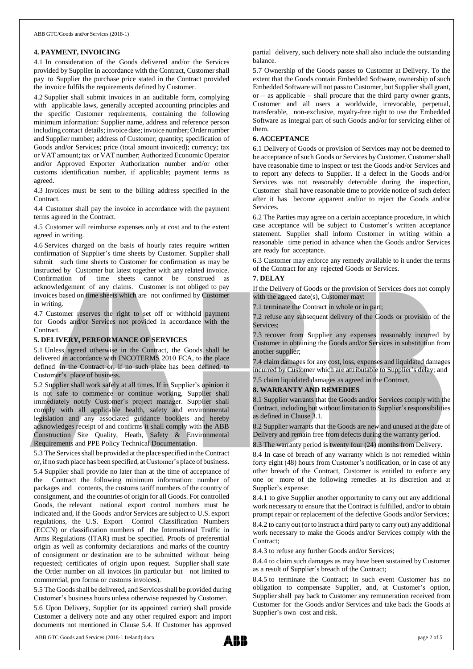# **4. PAYMENT, INVOICING**

4.1 In consideration of the Goods delivered and/or the Services provided by Supplier in accordance with the Contract, Customer shall pay to Supplier the purchase price stated in the Contract provided the invoice fulfils the requirements defined by Customer.

4.2 Supplier shall submit invoices in an auditable form, complying with applicable laws, generally accepted accounting principles and the specific Customer requirements, containing the following minimum information: Supplier name, address and reference person including contact details; invoice date; invoice number; Order number and Supplier number; address of Customer; quantity; specification of Goods and/or Services; price (total amount invoiced); currency; tax or VAT amount; tax or VAT number; Authorized Economic Operator and/or Approved Exporter Authorization number and/or other customs identification number, if applicable; payment terms as agreed.

4.3 Invoices must be sent to the billing address specified in the **Contract.** 

4.4 Customer shall pay the invoice in accordance with the payment terms agreed in the Contract.

4.5 Customer will reimburse expenses only at cost and to the extent agreed in writing.

4.6 Services charged on the basis of hourly rates require written confirmation of Supplier's time sheets by Customer. Supplier shall submit such time sheets to Customer for confirmation as may be instructed by Customer but latest together with any related invoice. Confirmation of time sheets cannot be construed as acknowledgement of any claims. Customer is not obliged to pay invoices based on time sheets which are not confirmed by Customer in writing.

4.7 Customer reserves the right to set off or withhold payment for Goods and/or Services not provided in accordance with the Contract.

# **5. DELIVERY, PERFORMANCE OF SERVICES**

5.1 Unless agreed otherwise in the Contract, the Goods shall be delivered in accordance with INCOTERMS 2010 FCA, to the place defined in the Contract or, if no such place has been defined, to Customer's place of business.

5.2 Supplier shall work safely at all times. If in Supplier's opinion it is not safe to commence or continue working, Supplier shall immediately notify Customer's project manager. Supplier shall comply with all applicable health, safety and environmental legislation and any associated guidance booklets and hereby acknowledges receipt of and confirms it shall comply with the ABB Construction Site Quality, Heath, Safety & Environmental Requirements and PPE Policy Technical Documentation.

5.3 The Servicesshall be provided at the place specified in the Contract or, if no such place has been specified, atCustomer's place of business. 5.4 Supplier shall provide no later than at the time of acceptance of the Contract the following minimum information: number of packages and contents, the customs tariff numbers of the country of consignment, and the countries of origin for all Goods. For controlled Goods, the relevant national export control numbers must be indicated and, if the Goods and/or Services are subject to U.S. export regulations, the U.S. Export Control Classification Numbers (ECCN) or classification numbers of the International Traffic in Arms Regulations (ITAR) must be specified. Proofs of preferential origin as well as conformity declarations and marks of the country of consignment or destination are to be submitted without being requested; certificates of origin upon request. Supplier shall state the Order number on all invoices (in particular but not limited to commercial, pro forma or customs invoices).

5.5 The Goods shall be delivered, and Services shall be provided during Customer's business hours unless otherwise requested by Customer.

5.6 Upon Delivery, Supplier (or its appointed carrier) shall provide Customer a delivery note and any other required export and import documents not mentioned in Clause 5.4. If Customer has approved partial delivery, such delivery note shall also include the outstanding balance.

5.7 Ownership of the Goods passes to Customer at Delivery. To the extent that the Goods contain Embedded Software, ownership of such Embedded Software will not pass to Customer, but Supplier shall grant,  $or - as applicable - shall prove the third party owner grants,$ Customer and all users a worldwide, irrevocable, perpetual, transferable, non-exclusive, royalty-free right to use the Embedded Software as integral part of such Goods and/or for servicing either of them.

# **6. ACCEPTANCE**

6.1 Delivery of Goods or provision of Services may not be deemed to be acceptance of such Goods or Services by Customer. Customer shall have reasonable time to inspect or test the Goods and/or Services and to report any defects to Supplier. If a defect in the Goods and/or Services was not reasonably detectable during the inspection, Customer shall have reasonable time to provide notice of such defect after it has become apparent and/or to reject the Goods and/or Services.

6.2 The Parties may agree on a certain acceptance procedure, in which case acceptance will be subject to Customer's written acceptance statement. Supplier shall inform Customer in writing within a reasonable time period in advance when the Goods and/or Services are ready for acceptance.

6.3 Customer may enforce any remedy available to it under the terms of the Contract for any rejected Goods or Services.

## **7. DELAY**

If the Delivery of Goods or the provision of Services does not comply with the agreed date(s), Customer may:

7.1 terminate the Contract in whole or in part;

7.2 refuse any subsequent delivery of the Goods or provision of the Services;

7.3 recover from Supplier any expenses reasonably incurred by Customer in obtaining the Goods and/or Services in substitution from another supplier;

7.4 claimdamages for any cost, loss, expenses and liquidated damages incurred by Customer which are attributable to Supplier's delay; and

7.5 claim liquidated damages as agreed in the Contract.

# **8. WARRANTY AND REMEDIES**

8.1 Supplier warrants that the Goods and/or Services comply with the Contract, including but without limitation to Supplier's responsibilities as defined in Clause 3.1.

8.2 Supplier warrants that the Goods are new and unused at the date of Delivery and remain free from defects during the warranty period.

8.3 The warranty period is twenty four (24) months from Delivery.

8.4 In case of breach of any warranty which is not remedied within forty eight (48) hours from Customer's notification, or in case of any other breach of the Contract, Customer is entitled to enforce any one or more of the following remedies at its discretion and at Supplier's expense:

8.4.1 to give Supplier another opportunity to carry out any additional work necessary to ensure that the Contract is fulfilled, and/or to obtain prompt repair or replacement of the defective Goods and/or Services;

8.4.2 to carry out (or to instruct a third party to carry out) any additional work necessary to make the Goods and/or Services comply with the Contract;

8.4.3 to refuse any further Goods and/or Services;

8.4.4 to claim such damages as may have been sustained by Customer as a result of Supplier's breach of the Contract;

8.4.5 to terminate the Contract; in such event Customer has no obligation to compensate Supplier, and, at Customer's option, Supplier shall pay back to Customer any remuneration received from Customer for the Goods and/or Services and take back the Goods at Supplier's own cost and risk.

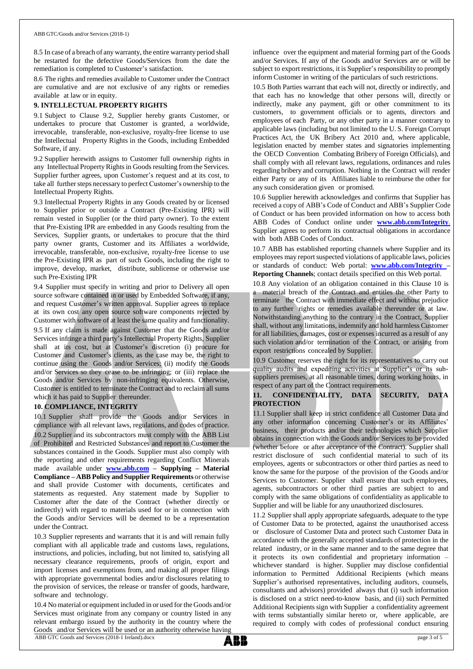8.5 In case of a breach of any warranty, the entire warranty period shall be restarted for the defective Goods/Services from the date the remediation is completed to Customer's satisfaction.

8.6 The rights and remedies available to Customer under the Contract are cumulative and are not exclusive of any rights or remedies available at law or in equity.

## **9. INTELLECTUAL PROPERTY RIGHTS**

9.1 Subject to Clause 9.2, Supplier hereby grants Customer, or undertakes to procure that Customer is granted, a worldwide, irrevocable, transferable, non-exclusive, royalty-free license to use the Intellectual Property Rights in the Goods, including Embedded Software, if any.

9.2 Supplier herewith assigns to Customer full ownership rights in any Intellectual Property Rights in Goods resulting from the Services. Supplier further agrees, upon Customer's request and at its cost, to take all further steps necessary to perfect Customer's ownership to the Intellectual Property Rights.

9.3 Intellectual Property Rights in any Goods created by or licensed to Supplier prior or outside a Contract (Pre-Existing IPR) will remain vested in Supplier (or the third party owner). To the extent that Pre-Existing IPR are embedded in any Goods resulting from the Services, Supplier grants, or undertakes to procure that the third party owner grants, Customer and its Affiliates a worldwide, irrevocable, transferable, non-exclusive, royalty-free license to use the Pre-Existing IPR as part of such Goods, including the right to improve, develop, market, distribute, sublicense or otherwise use such Pre-Existing IPR

9.4 Supplier must specify in writing and prior to Delivery all open source software contained in or used by Embedded Software, if any, and request Customer's written approval. Supplier agrees to replace at its own cost any open source software components rejected by Customer with software of at least the same quality and functionality.

9.5 If any claim is made against Customer that the Goods and/or Services infringe a third party's Intellectual Property Rights, Supplier shall at its cost, but at Customer's discretion (i) procure for Customer and Customer's clients, as the case may be, the right to continue using the Goods and/or Services; (ii) modify the Goods and/or Services so they cease to be infringing; or (iii) replace the Goods and/or Services by non-infringing equivalents. Otherwise, Customer is entitled to terminate the Contract and to reclaim all sums which it has paid to Supplier thereunder.

#### **10. COMPLIANCE, INTEGRITY**

10.1 Supplier shall provide the Goods and/or Services in compliance with all relevant laws, regulations, and codes of practice. 10.2 Supplier and its subcontractors must comply with the ABB List of Prohibited and Restricted Substances and report to Customer the substances contained in the Goods. Supplier must also comply with the reporting and other requirements regarding Conflict Minerals made available under **[www.abb.com](http://www.abb.com/) – Supplying – Material Compliance** – **ABB** Policy and Supplier Requirements or otherwise and shall provide Customer with documents, certificates and statements as requested. Any statement made by Supplier to Customer after the date of the Contract (whether directly or indirectly) with regard to materials used for or in connection with the Goods and/or Services will be deemed to be a representation under the Contract.

10.3 Supplier represents and warrants that it is and will remain fully compliant with all applicable trade and customs laws, regulations, instructions, and policies, including, but not limited to, satisfying all necessary clearance requirements, proofs of origin, export and import licenses and exemptions from, and making all proper filings with appropriate governmental bodies and/or disclosures relating to the provision of services, the release or transfer of goods, hardware, software and technology.

ABB GTC Goods and Services (2018-1 Ireland).docx page 3 of 5 10.4 No material or equipment included in or used for the Goods and/or Services must originate from any company or country listed in any relevant embargo issued by the authority in the country where the Goods and/or Services will be used or an authority otherwise having

influence over the equipment and material forming part of the Goods and/or Services. If any of the Goods and/or Services are or will be subject to export restrictions, it is Supplier's responsibility to promptly inform Customer in writing of the particulars of such restrictions.

10.5 Both Parties warrant that each will not, directly or indirectly, and that each has no knowledge that other persons will, directly or indirectly, make any payment, gift or other commitment to its customers, to government officials or to agents, directors and employees of each Party, or any other party in a manner contrary to applicable laws (including but not limited to the U. S. Foreign Corrupt Practices Act, the UK Bribery Act 2010 and, where applicable, legislation enacted by member states and signatories implementing the OECD Convention Combating Bribery of Foreign Officials), and shall comply with all relevant laws, regulations, ordinances and rules regarding bribery and corruption. Nothing in the Contract will render either Party or any of its Affiliates liable to reimburse the other for any such consideration given or promised.

10.6 Supplier herewith acknowledges and confirms that Supplier has received a copy of ABB's Code of Conduct and ABB's Supplier Code of Conduct or has been provided information on how to access both ABB Codes of Conduct online under **[www.abb.com/Integrity](http://www.abb.com/Integrity.)**. Supplier agrees to perform its contractual obligations in accordance with both ABB Codes of Conduct.

10.7 ABB has established reporting channels where Supplier and its employees may report suspected violations of applicable laws, policies or standards of conduct: Web portal: **[www.abb.com/Integrity](http://www.abb.com/Integrity) – Reporting Channels**; contact details specified on this Web portal.

10.8 Any violation of an obligation contained in this Clause 10 is a material breach of the Contract and entitles the other Party to terminate the Contract with immediate effect and without prejudice to any further rights or remedies available thereunder or at law. Notwithstanding anything to the contrary in the Contract, Supplier shall, without any limitations, indemnify and hold harmless Customer for all liabilities, damages, cost or expenses incurred as a result of any such violation and/or termination of the Contract, or arising from export restrictions concealed by Supplier.

10.9 Customer reserves the right for its representatives to carry out quality audits and expediting activities at Supplier's or its subsuppliers premises, at all reasonable times, during working hours, in respect of any part of the Contract requirements.

## **11. CONFIDENTIALITY, DATA SECURITY, DATA PROTECTION**

11.1 Supplier shall keep in strict confidence all Customer Data and any other information concerning Customer's or its Affiliates' business, their products and/or their technologies which Supplier obtains in connection with the Goods and/or Services to be provided (whether before or after acceptance of the Contract). Supplier shall restrict disclosure of such confidential material to such of its employees, agents or subcontractors or other third parties as need to know the same for the purpose of the provision of the Goods and/or Services to Customer. Supplier shall ensure that such employees, agents, subcontractors or other third parties are subject to and comply with the same obligations of confidentiality as applicable to Supplier and will be liable for any unauthorized disclosures.

11.2 Supplier shall apply appropriate safeguards, adequate to the type of Customer Data to be protected, against the unauthorised access or disclosure of Customer Data and protect such Customer Data in accordance with the generally accepted standards of protection in the related industry, or in the same manner and to the same degree that it protects its own confidential and proprietary information – whichever standard is higher. Supplier may disclose confidential information to Permitted Additional Recipients (which means Supplier's authorised representatives, including auditors, counsels, consultants and advisors) provided always that (i) such information is disclosed on a strict need-to-know basis, and (ii) such Permitted Additional Recipients sign with Supplier a confidentiality agreement with terms substantially similar hereto or, where applicable, are required to comply with codes of professional conduct ensuring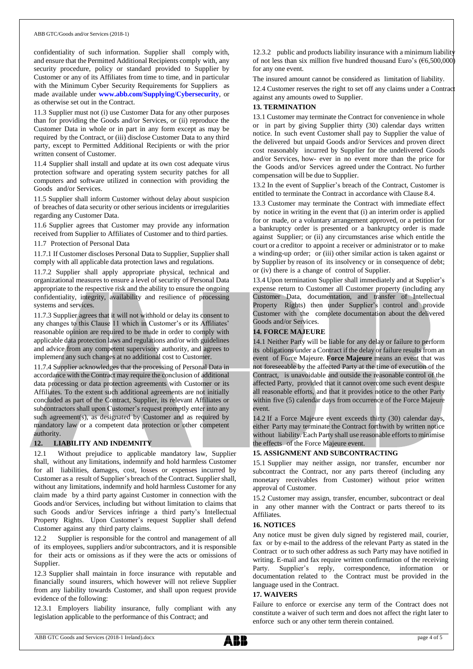confidentiality of such information. Supplier shall comply with, and ensure that the Permitted Additional Recipients comply with, any security procedure, policy or standard provided to Supplier by Customer or any of its Affiliates from time to time, and in particular with the Minimum Cyber Security Requirements for Suppliers as made available under **[www.abb.com/Supplying/Cybersecurity](http://www.abb.com/Supplying/Cybersecurity)**, or as otherwise set out in the Contract.

11.3 Supplier must not (i) use Customer Data for any other purposes than for providing the Goods and/or Services, or (ii) reproduce the Customer Data in whole or in part in any form except as may be required by the Contract, or (iii) disclose Customer Data to any third party, except to Permitted Additional Recipients or with the prior written consent of Customer.

11.4 Supplier shall install and update at its own cost adequate virus protection software and operating system security patches for all computers and software utilized in connection with providing the Goods and/or Services.

11.5 Supplier shall inform Customer without delay about suspicion of breaches of data security or other serious incidents or irregularities regarding any Customer Data.

11.6 Supplier agrees that Customer may provide any information received from Supplier to Affiliates of Customer and to third parties.

11.7 Protection of Personal Data

11.7.1 If Customer discloses Personal Data to Supplier, Supplier shall comply with all applicable data protection laws and regulations.

11.7.2 Supplier shall apply appropriate physical, technical and organizational measures to ensure a level of security of Personal Data appropriate to the respective risk and the ability to ensure the ongoing confidentiality, integrity, availability and resilience of processing systems and services.

11.7.3 Supplier agrees that it will not withhold or delay its consent to any changes to this Clause 11 which in Customer's or its Affiliates' reasonable opinion are required to be made in order to comply with applicable data protection laws and regulations and/or with guidelines and advice from any competent supervisory authority, and agrees to implement any such changes at no additional cost to Customer.

11.7.4 Supplier acknowledges that the processing of Personal Data in accordance with the Contract may require the conclusion of additional data processing or data protection agreements with Customer or its Affiliates. To the extent such additional agreements are not initially concluded as part of the Contract, Supplier, its relevant Affiliates or subcontractors shall upon Customer's request promptly enter into any such agreement(s), as designated by Customer and as required by mandatory law or a competent data protection or other competent authority.

# **12. LIABILITY AND INDEMNITY**

12.1 Without prejudice to applicable mandatory law, Supplier shall, without any limitations, indemnify and hold harmless Customer for all liabilities, damages, cost, losses or expenses incurred by Customer as a result of Supplier's breach of the Contract. Supplier shall, without any limitations, indemnify and hold harmless Customer for any claim made by a third party against Customer in connection with the Goods and/or Services, including but without limitation to claims that such Goods and/or Services infringe a third party's Intellectual Property Rights. Upon Customer's request Supplier shall defend Customer against any third party claims.

12.2 Supplier is responsible for the control and management of all of its employees, suppliers and/or subcontractors, and it is responsible for their acts or omissions as if they were the acts or omissions of Supplier.

12.3 Supplier shall maintain in force insurance with reputable and financially sound insurers, which however will not relieve Supplier from any liability towards Customer, and shall upon request provide evidence of the following:

12.3.1 Employers liability insurance, fully compliant with any legislation applicable to the performance of this Contract; and

12.3.2 public and products liability insurance with a minimum liability of not less than six million five hundred thousand Euro's  $(\text{\textsterling}6,500,000)$ for any one event.

The insured amount cannot be considered as limitation of liability. 12.4 Customer reserves the right to set off any claims under a Contrac against any amounts owed to Supplier.

### **13. TERMINATION**

13.1 Customer may terminate the Contract for convenience in whole or in part by giving Supplier thirty (30) calendar days written notice. In such event Customer shall pay to Supplier the value of the delivered but unpaid Goods and/or Services and proven direct cost reasonably incurred by Supplier for the undelivered Goods and/or Services, how- ever in no event more than the price for the Goods and/or Services agreed under the Contract. No further compensation will be due to Supplier.

13.2 In the event of Supplier's breach of the Contract, Customer is entitled to terminate the Contract in accordance with Clause 8.4.

13.3 Customer may terminate the Contract with immediate effect by notice in writing in the event that (i) an interim order is applied for or made, or a voluntary arrangement approved, or a petition for a bankruptcy order is presented or a bankruptcy order is made against Supplier; or (ii) any circumstances arise which entitle the court or a creditor to appoint a receiver or administrator or to make a winding-up order; or (iii) other similar action is taken against or by Supplier by reason of its insolvency or in consequence of debt; or (iv) there is a change of control of Supplier.

13.4 Upon termination Supplier shall immediately and at Supplier's expense return to Customer all Customer property (including any Customer Data, documentation, and transfer of Intellectual Property Rights) then under Supplier's control and provide Customer with the complete documentation about the delivered Goods and/or Services.

# **14. FORCE MAJEURE**

14.1 Neither Party will be liable for any delay or failure to perform its obligations under a Contract if the delay or failure results from an event of Force Majeure. **Force Majeure** means an event that was not foreseeable by the affected Party at the time of execution of the Contract, is unavoidable and outside the reasonable control of the affected Party, provided that it cannot overcome such event despite all reasonable efforts, and that it provides notice to the other Party within five (5) calendar days from occurrence of the Force Majeure event.

14.2 If a Force Majeure event exceeds thirty (30) calendar days, either Party may terminate the Contract forthwith by written notice without liability. Each Party shall use reasonable efforts to minimise the effects of the Force Majeure event.

# **15. ASSIGNMENT AND SUBCONTRACTING**

15.1 Supplier may neither assign, nor transfer, encumber nor subcontract the Contract, nor any parts thereof (including any monetary receivables from Customer) without prior written approval of Customer.

15.2 Customer may assign, transfer, encumber, subcontract or deal in any other manner with the Contract or parts thereof to its Affiliates.

# **16. NOTICES**

Any notice must be given duly signed by registered mail, courier, fax or by e-mail to the address of the relevant Party as stated in the Contract or to such other address as such Party may have notified in writing. E-mail and fax require written confirmation of the receiving Party. Supplier's reply, correspondence, information or documentation related to the Contract must be provided in the language used in the Contract.

#### **17. WAIVERS**

Failure to enforce or exercise any term of the Contract does not constitute a waiver of such term and does not affect the right later to enforce such or any other term therein contained.